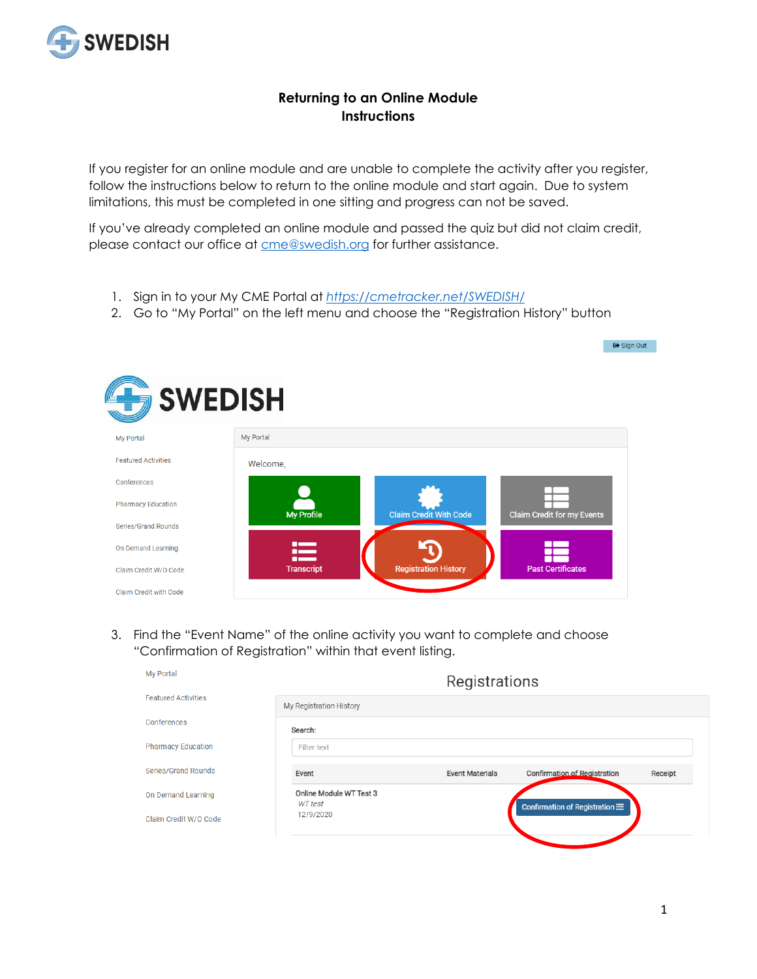

## **Returning to an Online Module Instructions**

If you register for an online module and are unable to complete the activity after you register, follow the instructions below to return to the online module and start again. Due to system limitations, this must be completed in one sitting and progress can not be saved.

If you've already completed an online module and passed the quiz but did not claim credit, please contact our office at **cme@swedish.org** for further assistance.

- 1. Sign in to your My CME Portal at *<https://cmetracker.net/SWEDISH/>*
- 2. Go to "My Portal" on the left menu and choose the "Registration History" button



3. Find the "Event Name" of the online activity you want to complete and choose "Confirmation of Registration" within that event listing.

| <b>My Portal</b>           |                                    | Registrations          |                                     |         |
|----------------------------|------------------------------------|------------------------|-------------------------------------|---------|
| <b>Featured Activities</b> | My Registration History            |                        |                                     |         |
| Conferences                | Search:                            |                        |                                     |         |
| <b>Pharmacy Education</b>  | Filter text                        |                        |                                     |         |
| Series/Grand Rounds        | Event                              | <b>Event Materials</b> | <b>Confirmation of Registration</b> | Receipt |
| On Demand Learning         | Online Module WT Test 3<br>WT test |                        | Confirmation of Registration :=     |         |
| Claim Credit W/O Code      | 12/9/2020                          |                        |                                     |         |

■ Gign Out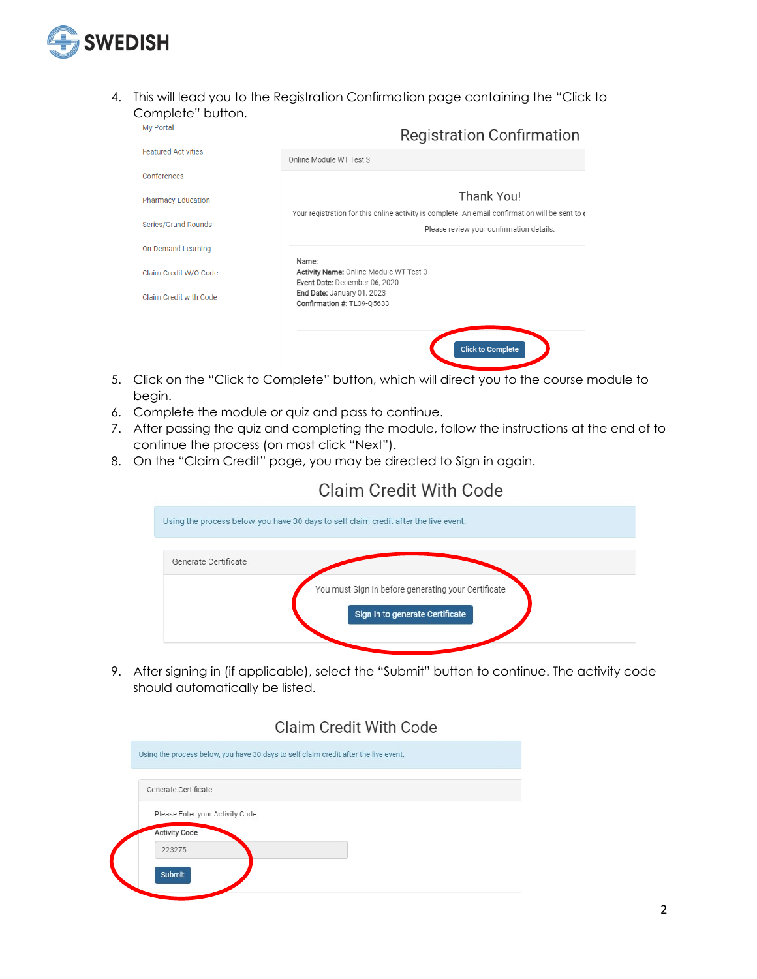

4. This will lead you to the Registration Confirmation page containing the "Click to Complete" button.

| <b>My Portal</b>           | <b>Registration Confirmation</b>                                                                              |
|----------------------------|---------------------------------------------------------------------------------------------------------------|
| <b>Featured Activities</b> | Online Module WT Test 3                                                                                       |
| Conferences                |                                                                                                               |
| <b>Pharmacy Education</b>  | Thank You!<br>Your registration for this online activity is complete. An email confirmation will be sent to c |
| Series/Grand Rounds        | Please review your confirmation details:                                                                      |
| On Demand Learning         | Name:                                                                                                         |
| Claim Credit W/O Code      | Activity Name: Online Module WT Test 3<br>Event Date: December 06, 2020                                       |
| Claim Credit with Code     | End Date: January 01, 2023<br>Confirmation #: TL09-Q5633                                                      |
|                            | <b>Click to Complete</b>                                                                                      |

- 5. Click on the "Click to Complete" button, which will direct you to the course module to begin.
- 6. Complete the module or quiz and pass to continue.
- 7. After passing the quiz and completing the module, follow the instructions at the end of to continue the process (on most click "Next").
- 8. On the "Claim Credit" page, you may be directed to Sign in again.

## **Claim Credit With Code**



9. After signing in (if applicable), select the "Submit" button to continue. The activity code should automatically be listed.

## **Claim Credit With Code**

| Generate Certificate             |  |  |
|----------------------------------|--|--|
| Please Enter your Activity Code: |  |  |
| <b>Activity Code</b>             |  |  |
| 223275                           |  |  |